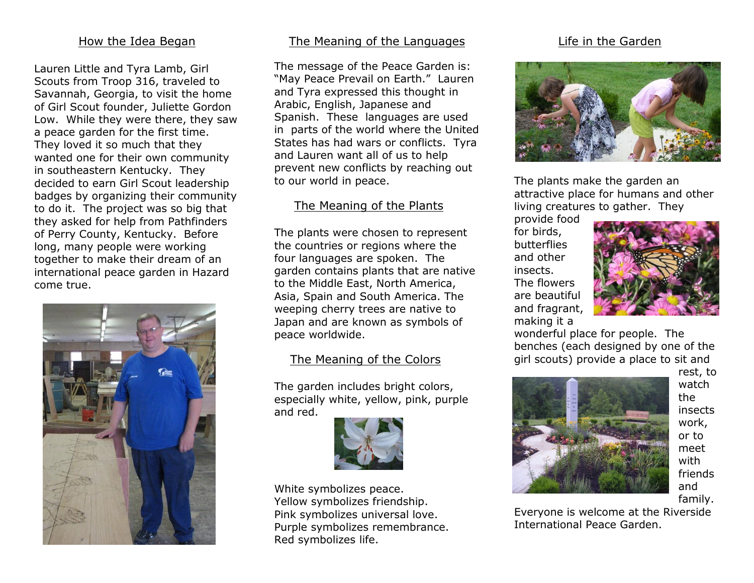#### How the Idea Began

Lauren Little and Tyra Lamb, Girl Scouts from Troop 316, traveled to Savannah, Georgia, to visit the home of Girl Scout founder, Juliette Gordon Low. While they were there, they saw a peace garden for the first time. They loved it so much that they wanted one for their own community in southeastern Kentucky. They decided to earn Girl Scout leadership badges by organizing their community to do it. The project was so big that they asked for help from Pathfinders of Perry County, Kentucky. Before long, many people were working together to make their dream of an international peace garden in Hazard come true.



#### The Meaning of the Languages

The message of the Peace Garden is: "May Peace Prevail on Earth." Lauren and Tyra expressed this thought in Arabic, English, Japanese and Spanish. These languages are used in parts of the world where the United States has had wars or conflicts. Tyra and Lauren want all of us to help prevent new conflicts by reaching out to our world in peace.

#### The Meaning of the Plants

The plants were chosen to represent the countries or regions where the four languages are spoken. The garden contains plants that are native to the Middle East, North America, Asia, Spain and South America. The weeping cherry trees are native to Japan and are known as symbols of peace worldwide.

#### The Meaning of the Colors

The garden includes bright colors, especially white, yellow, pink, purple and red.



White symbolizes peace. Yellow symbolizes friendship. Pink symbolizes universal love. Purple symbolizes remembrance. Red symbolizes life.

#### Life in the Garden



The plants make the garden an attractive place for humans and other living creatures to gather. They

provide food for birds, butterflies and other insects. The flowers are beautiful and fragrant, making it a



wonderful place for people. The benches (each designed by one of the girl scouts) provide a place to sit and



rest, to watch the insects work, or to meet with friends and family.

Everyone is welcome at the Riverside International Peace Garden.